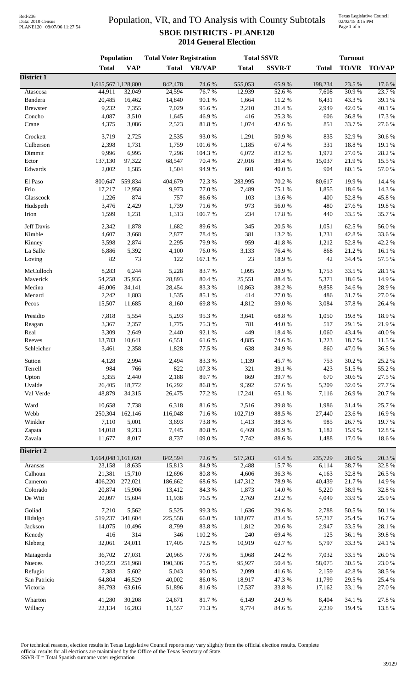## Population, VR, and TO Analysis with County Subtotals **SBOE DISTRICTS - PLANE120 2014 General Election**

Texas Legislative Council 02/02/15 3:15 PM Page 1 of 5

|                     | Population                    |            | <b>Total Voter Registration</b> |                 |                   | <b>Total SSVR</b> | <b>Turnout</b>   |                 |                 |
|---------------------|-------------------------------|------------|---------------------------------|-----------------|-------------------|-------------------|------------------|-----------------|-----------------|
|                     | <b>Total</b>                  | <b>VAP</b> | <b>Total</b>                    | <b>VR/VAP</b>   | <b>Total</b>      | <b>SSVR-T</b>     | <b>Total</b>     | <b>TO/VR</b>    | <b>TO/VAP</b>   |
| <b>District 1</b>   |                               |            |                                 |                 |                   |                   |                  |                 |                 |
|                     | 1,615,567 1,128,800<br>44,911 | 32,049     | 842,478<br>24,594               | 74.6 %<br>76.7% | 555,053<br>12,939 | 65.9%<br>52.6%    | 198,234<br>7,608 | 23.5 %<br>30.9% | 17.6 %<br>23.7% |
| Atascosa<br>Bandera | 20,485                        | 16,462     | 14,840                          | 90.1 %          | 1,664             | 11.2%             | 6,431            | 43.3%           | 39.1 %          |
| <b>Brewster</b>     | 9,232                         | 7,355      | 7,029                           | 95.6%           | 2,210             | 31.4%             | 2,949            | 42.0%           | 40.1 %          |
| Concho              | 4,087                         | 3,510      | 1,645                           | 46.9%           | 416               | 25.3 %            | 606              | 36.8%           | 17.3 %          |
| Crane               | 4,375                         | 3,086      | 2,523                           | 81.8%           | 1,074             | 42.6 %            | 851              | 33.7%           | 27.6%           |
|                     |                               |            |                                 |                 |                   |                   |                  |                 |                 |
| Crockett            | 3,719                         | 2,725      | 2,535                           | 93.0%           | 1,291             | 50.9%             | 835              | 32.9%           | 30.6%           |
| Culberson           | 2,398                         | 1,731      | 1,759                           | 101.6%          | 1,185             | 67.4 %            | 331              | 18.8%           | 19.1 %          |
| Dimmit              | 9,996                         | 6,995      | 7,296                           | 104.3 %         | 6,072             | 83.2%             | 1,972            | 27.0%           | 28.2%           |
| Ector               | 137,130                       | 97,322     | 68,547                          | 70.4 %          | 27,016            | 39.4 %            | 15,037           | 21.9%           | 15.5 %          |
| Edwards             | 2,002                         | 1,585      | 1,504                           | 94.9%           | 601               | 40.0%             | 904              | 60.1%           | 57.0%           |
| El Paso             | 800,647                       | 559,834    | 404,679                         | 72.3 %          | 283,995           | 70.2 %            | 80,617           | 19.9%           | 14.4 %          |
| Frio                | 17,217                        | 12,958     | 9,973                           | 77.0 %          | 7,489             | 75.1 %            | 1,855            | 18.6%           | 14.3 %          |
| Glasscock           | 1,226                         | 874        | 757                             | 86.6%           | 103               | 13.6%             | 400              | 52.8%           | 45.8%           |
| Hudspeth            | 3,476                         | 2,429      | 1,739                           | 71.6%           | 973               | 56.0%             | 480              | 27.6%           | 19.8%           |
| Irion               | 1,599                         | 1,231      | 1,313                           | 106.7%          | 234               | 17.8 %            | 440              | 33.5 %          | 35.7%           |
|                     |                               |            |                                 |                 |                   |                   |                  |                 |                 |
| Jeff Davis          | 2,342                         | 1,878      | 1,682                           | 89.6%           | 345               | 20.5 %            | 1,051            | 62.5 %          | 56.0%           |
| Kimble              | 4,607                         | 3,668      | 2,877                           | 78.4%           | 381               | 13.2 %            | 1,231            | 42.8%           | 33.6%           |
| Kinney              | 3,598                         | 2,874      | 2,295                           | 79.9%           | 959               | 41.8 %            | 1,212            | 52.8%           | 42.2 %          |
| La Salle            | 6,886                         | 5,392      | 4,100                           | 76.0%           | 3,133             | 76.4 %            | 868              | 21.2%           | 16.1%           |
| Loving              | 82                            | 73         | 122                             | 167.1 %         | 23                | 18.9%             | 42               | 34.4 %          | 57.5 %          |
| McCulloch           | 8,283                         | 6,244      | 5,228                           | 83.7%           | 1,095             | 20.9%             | 1,753            | 33.5 %          | 28.1 %          |
| Maverick            | 54,258                        | 35,935     | 28,893                          | 80.4 %          | 25,551            | 88.4 %            | 5,371            | 18.6%           | 14.9%           |
| Medina              | 46,006                        | 34,141     | 28,454                          | 83.3%           | 10,863            | 38.2%             | 9,858            | 34.6 %          | 28.9%           |
|                     |                               |            |                                 |                 |                   |                   |                  |                 |                 |
| Menard              | 2,242                         | 1,803      | 1,535                           | 85.1%           | 414               | 27.0%             | 486              | 31.7%           | 27.0%           |
| Pecos               | 15,507                        | 11,685     | 8,160                           | 69.8%           | 4,812             | 59.0%             | 3,084            | 37.8 %          | 26.4 %          |
| Presidio            | 7,818                         | 5,554      | 5,293                           | 95.3%           | 3,641             | 68.8%             | 1,050            | 19.8%           | 18.9%           |
| Reagan              | 3,367                         | 2,357      | 1,775                           | 75.3 %          | 781               | 44.0 %            | 517              | 29.1 %          | 21.9%           |
| Real                | 3,309                         | 2,649      | 2,440                           | 92.1 %          | 449               | 18.4%             | 1,060            | 43.4 %          | 40.0%           |
| Reeves              | 13,783                        | 10,641     | 6,551                           | 61.6%           | 4,885             | 74.6%             | 1,223            | 18.7%           | 11.5 %          |
| Schleicher          | 3,461                         | 2,358      | 1,828                           | 77.5 %          | 638               | 34.9%             | 860              | 47.0%           | 36.5 %          |
|                     |                               |            |                                 |                 |                   |                   |                  |                 |                 |
| Sutton              | 4,128                         | 2,994      | 2,494                           | 83.3%           | 1,139             | 45.7%             | 753              | 30.2 %          | 25.2 %          |
| Terrell             | 984                           | 766        | 822                             | 107.3 %         | 321               | 39.1 %            | 423              | 51.5%           | 55.2 %          |
| Upton               | 3,355                         | 2,440      | 2,188                           | 89.7%           | 869               | 39.7%             | 670              | 30.6%           | 27.5 %          |
| Uvalde              | 26,405                        | 18,772     | 16,292                          | 86.8%           | 9,392             | 57.6 %            | 5,209            | 32.0%           | 27.7 %          |
| Val Verde           | 48,879                        | 34,315     | 26,475                          | 77.2 %          | 17,241            | 65.1 %            | 7,116            | 26.9%           | 20.7 %          |
| Ward                | 10,658                        | 7,738      | 6,318                           | 81.6%           | 2,516             | 39.8%             | 1,986            | 31.4 %          | 25.7 %          |
| Webb                | 250,304                       | 162,146    | 116,048                         | 71.6%           | 102,719           | 88.5 %            | 27,440           | 23.6 %          | 16.9%           |
| Winkler             | 7,110                         | 5,001      | 3,693                           | 73.8%           | 1,413             | 38.3%             | 985              | 26.7%           | 19.7%           |
| Zapata              | 14,018                        | 9,213      | 7,445                           | $80.8~\%$       | 6,469             | 86.9%             | 1,182            | 15.9%           | 12.8 %          |
| Zavala              | 11,677                        | 8,017      | 8,737                           | 109.0%          | 7,742             | 88.6%             | 1,488            | 17.0%           | 18.6%           |
|                     |                               |            |                                 |                 |                   |                   |                  |                 |                 |
| <b>District 2</b>   | 1,664,048 1,161,020           |            | 842,594                         | 72.6 %          | 517,203           | 61.4%             | 235,729          | 28.0%           | 20.3 %          |
| Aransas             | 23,158                        | 18,635     | 15,813                          | 84.9%           | 2,488             | 15.7%             | 6,114            | 38.7%           | 32.8%           |
| Calhoun             | 21,381                        | 15,710     | 12,696                          | $80.8~\%$       | 4,606             | 36.3%             | 4,163            | 32.8%           | 26.5 %          |
| Cameron             | 406,220                       | 272,021    | 186,662                         | 68.6%           | 147,312           | 78.9%             | 40,439           | 21.7%           | 14.9%           |
| Colorado            | 20,874                        | 15,906     | 13,412                          | 84.3 %          | 1,873             | $14.0\ \%$        | 5,220            | 38.9%           | 32.8%           |
| De Witt             | 20,097                        | 15,604     | 11,938                          | 76.5 %          | 2,769             | 23.2 %            | 4,049            | 33.9%           | 25.9%           |
|                     |                               |            |                                 |                 |                   |                   |                  |                 |                 |
| Goliad              | 7,210                         | 5,562      | 5,525                           | 99.3%           | 1,636             | 29.6%             | 2,788            | 50.5 %          | 50.1 %          |
| Hidalgo             | 519,237                       | 341,604    | 225,558                         | 66.0%           | 188,077           | 83.4 %            | 57,217           | 25.4 %          | 16.7%           |
| Jackson             | 14,075                        | 10,496     | 8,799                           | 83.8%           | 1,812             | 20.6 %            | 2,947            | 33.5 %          | 28.1 %          |
| Kenedy              | 416                           | 314        | 346                             | 110.2%          | 240               | 69.4%             | 125              | 36.1 %          | 39.8%           |
| Kleberg             | 32,061                        | 24,011     | 17,405                          | 72.5 %          | 10,919            | 62.7%             | 5,797            | 33.3%           | 24.1 %          |
|                     |                               | 27,031     |                                 |                 |                   |                   |                  |                 |                 |
| Matagorda           | 36,702                        |            | 20,965                          | 77.6%           | 5,068             | 24.2 %            | 7,032            | 33.5 %          | 26.0%           |
| Nueces              | 340,223                       | 251,968    | 190,306                         | 75.5 %          | 95,927            | 50.4 %            | 58,075           | 30.5 %          | 23.0 %          |
| Refugio             | 7,383                         | 5,602      | 5,043                           | $90.0\;\%$      | 2,099             | 41.6 %            | 2,159            | 42.8%           | 38.5 %          |
| San Patricio        | 64,804                        | 46,529     | 40,002                          | 86.0%           | 18,917            | 47.3 %            | 11,799           | 29.5 %          | 25.4 %          |
| Victoria            | 86,793                        | 63,616     | 51,896                          | 81.6%           | 17,537            | 33.8%             | 17,162           | 33.1 %          | 27.0%           |
| Wharton             | 41,280                        | 30,208     | 24,671                          | 81.7%           | 6,149             | 24.9%             | 8,404            | 34.1 %          | $27.8\ \%$      |
| Willacy             | 22,134                        | 16,203     | 11,557                          | $71.3\ \%$      | 9,774             | 84.6 %            | 2,239            | 19.4 %          | $13.8~\%$       |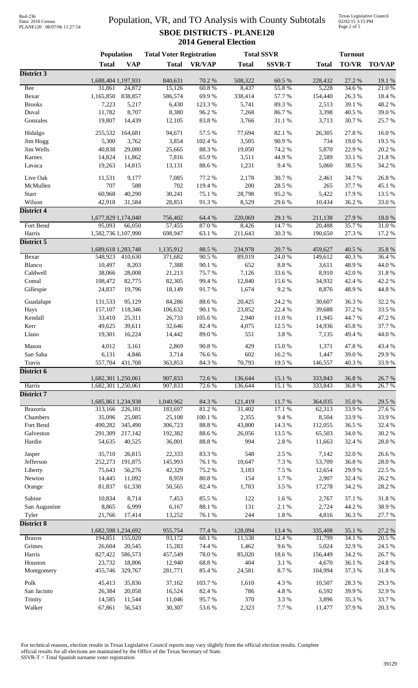# Data: 2010 Census PLANE120 08/07/06 11:27:54

## Population, VR, and TO Analysis with County Subtotals **SBOE DISTRICTS - PLANE120 2014 General Election**

Texas Legislative Council 02/02/15 3:15 PM Page 2 of 5

|                      | <b>Population</b>   |                   | <b>Total Voter Registration</b> |                |                  | <b>Total SSVR</b> |                  | <b>Turnout</b> |                |  |
|----------------------|---------------------|-------------------|---------------------------------|----------------|------------------|-------------------|------------------|----------------|----------------|--|
|                      | <b>Total</b>        | <b>VAP</b>        | <b>Total</b>                    | <b>VR/VAP</b>  | <b>Total</b>     | <b>SSVR-T</b>     | <b>Total</b>     | <b>TO/VR</b>   | <b>TO/VAP</b>  |  |
| District 3           |                     |                   |                                 |                |                  |                   |                  |                |                |  |
|                      | 1,688,404 1,197,931 |                   | 840,631                         | 70.2 %         | 508,322          | 60.5 %            | 228,432          | 27.2 %         | 19.1 %         |  |
| <b>Bee</b><br>Bexar  | 31,861<br>1,165,850 | 24,872<br>838,857 | 15,126<br>586,574               | 60.8%<br>69.9% | 8,437<br>338,414 | 55.8%<br>57.7%    | 5,228<br>154,440 | 34.6%<br>26.3% | 21.0%<br>18.4% |  |
| <b>Brooks</b>        | 7,223               | 5,217             | 6,430                           | 123.3 %        | 5,741            | 89.3%             | 2,513            | 39.1 %         | 48.2 %         |  |
| Duval                | 11,782              | 8,707             | 8,380                           | 96.2%          | 7,268            | 86.7%             | 3,398            | 40.5 %         | 39.0%          |  |
| Gonzales             | 19,807              | 14,439            | 12,105                          | 83.8%          | 3,766            | $31.1\text{ }\%$  | 3,713            | 30.7%          | 25.7%          |  |
| Hidalgo              | 255,532             | 164,681           | 94,671                          | 57.5 %         | 77,694           | 82.1 %            | 26,305           | 27.8%          | 16.0%          |  |
| Jim Hogg             | 5,300               | 3,762             | 3,854                           | 102.4 %        | 3,505            | 90.9%             | 734              | 19.0%          | 19.5 %         |  |
| Jim Wells            | 40,838              | 29,080            | 25,665                          | 88.3%          | 19,050           | 74.2 %            | 5,870            | 22.9%          | 20.2 %         |  |
| Karnes               | 14,824              | 11,862            | 7,816                           | 65.9%          | 3,511            | 44.9%             | 2,589            | 33.1 %         | 21.8 %         |  |
| Lavaca               | 19,263              | 14,815            | 13,131                          | 88.6%          | 1,231            | 9.4%              | 5,060            | 38.5 %         | 34.2 %         |  |
| Live Oak             | 11,531              | 9,177             | 7,085                           | 77.2 %         | 2,178            | 30.7%             | 2,461            | 34.7%          | 26.8%          |  |
| McMullen             | 707                 | 588               | 702                             | 119.4 %        | 200              | 28.5 %            | 265              | 37.7%          | 45.1 %         |  |
| Starr                | 60,968              | 40,290            | 30,241                          | 75.1 %         | 28,798           | 95.2%             | 5,422            | 17.9%          | 13.5 %         |  |
| Wilson               | 42,918              | 31,584            | 28,851                          | 91.3%          | 8,529            | 29.6%             | 10,434           | 36.2%          | 33.0%          |  |
| <b>District 4</b>    |                     |                   |                                 |                |                  |                   |                  |                |                |  |
|                      | 1,677,829 1,174,040 |                   | 756,402                         | 64.4 %         | 220,069          | 29.1 %            | 211,138          | 27.9%          | 18.0%          |  |
| Fort Bend            | 95,093              | 66,050            | 57,455                          | 87.0%          | 8,426            | 14.7%             | 20,488           | 35.7%          | 31.0%          |  |
| Harris<br>District 5 | 1,582,736 1,107,990 |                   | 698,947                         | 63.1 %         | 211,643          | 30.3%             | 190,650          | 27.3 %         | 17.2 %         |  |
|                      | 1,689,618 1,283,748 |                   | 1,135,912                       | 88.5 %         | 234,978          | 20.7%             | 459,627          | 40.5 %         | 35.8%          |  |
| Bexar                | 548,923             | 410,630           | 371,682                         | 90.5 %         | 89,019           | 24.0%             | 149,612          | 40.3%          | 36.4 %         |  |
| Blanco               | 10,497              | 8,203             | 7,388                           | 90.1 %         | 652              | $8.8\ \%$         | 3,611            | 48.9%          | 44.0%          |  |
| Caldwell             | 38,066              | 28,008            | 21,213                          | 75.7%          | 7,126            | 33.6%             | 8,910            | 42.0%          | 31.8%          |  |
| Comal                | 108,472             | 82,775            | 82,305                          | 99.4%          | 12,840           | 15.6%             | 34,932           | 42.4 %         | 42.2 %         |  |
| Gillespie            | 24,837              | 19,796            | 18,149                          | 91.7%          | 1,674            | 9.2%              | 8,876            | 48.9%          | 44.8 %         |  |
| Guadalupe            | 131,533             | 95,129            | 84,286                          | 88.6%          | 20,425           | 24.2 %            | 30,607           | 36.3%          | 32.2 %         |  |
| Hays                 | 157,107             | 118,346           | 106,632                         | 90.1%          | 23,852           | 22.4 %            | 39,688           | 37.2 %         | 33.5 %         |  |
| Kendall              | 33,410              | 25,311            | 26,733                          | 105.6%         | 2,940            | 11.0%             | 11,945           | 44.7%          | 47.2 %         |  |
| Kerr                 | 49,625              | 39,611            | 32,646                          | 82.4 %         | 4,075            | 12.5 %            | 14,936           | 45.8%          | 37.7 %         |  |
| Llano                | 19,301              | 16,224            | 14,442                          | 89.0%          | 551              | 3.8%              | 7,135            | 49.4 %         | 44.0%          |  |
| Mason                | 4,012               | 3,161             | 2,869                           | 90.8%          | 429              | 15.0%             | 1,371            | 47.8%          | 43.4 %         |  |
| San Saba             | 6,131               | 4,846             | 3,714                           | 76.6 %         | 602              | 16.2 %            | 1,447            | 39.0 %         | 29.9 %         |  |
| Travis               | 557,704             | 431,708           | 363,853                         | 84.3%          | 70,793           | 19.5 %            | 146,557          | 40.3%          | 33.9%          |  |
| District 6           | 1,682,301 1,250,061 |                   | 907,833                         | 72.6 %         | 136,644          | 15.1 %            | 333,843          | 36.8%          | 26.7%          |  |
| Harris               | 1,682,301 1,250,061 |                   | 907,833                         | 72.6 %         | 136,644          | 15.1 %            | 333,843          | 36.8%          | 26.7%          |  |
| District 7           |                     |                   |                                 |                |                  |                   |                  |                |                |  |
|                      | 1,685,861 1,234,938 |                   | 1,040,962                       | 84.3 %         | 121,419          | 11.7 %            | 364,035          | 35.0%          | 29.5 %         |  |
| <b>Brazoria</b>      | 313,166             | 226,181           | 183,697                         | 81.2%          | 31,402           | 17.1 %            | 62,313           | 33.9%          | 27.6 %         |  |
| Chambers             | 35,096              | 25,085            | 25,108                          | 100.1 %        | 2,355            | 9.4%              | 8,504            | 33.9%          | 33.9%          |  |
| Fort Bend            | 490,282             | 345,490           | 306,723                         | 88.8%          | 43,800           | 14.3 %            | 112,055          | 36.5 %         | 32.4 %         |  |
| Galveston            | 291,309             | 217,142           | 192,382<br>36,001               | 88.6%          | 26,056<br>994    | 13.5 %<br>2.8 %   | 65,503           | 34.0 %         | 30.2 %         |  |
| Hardin               | 54,635              | 40,525            |                                 | $88.8\ \%$     |                  |                   | 11,663           | 32.4 %         | 28.8 %         |  |
| Jasper               | 35,710              | 26,815            | 22,333                          | 83.3%          | 548              | 2.5 %             | 7,142            | 32.0%          | 26.6%          |  |
| Jefferson            | 252,273             | 191,875           | 145,993                         | 76.1 %         | 10,647           | 7.3 %             | 53,709           | 36.8%          | 28.0 %         |  |
| Liberty              | 75,643              | 56,276            | 42,329                          | 75.2 %         | 3,183            | 7.5 %             | 12,654           | 29.9%          | 22.5 %         |  |
| Newton               | 14,445              | 11,092            | 8,959                           | $80.8~\%$      | 154              | 1.7%              | 2,907            | 32.4 %         | 26.2%          |  |
| Orange               | 81,837              | 61,330            | 50,565                          | 82.4 %         | 1,783            | 3.5 %             | 17,278           | 34.2 %         | 28.2 %         |  |
| Sabine               | 10,834              | 8,714             | 7,453                           | 85.5 %         | 122              | $1.6\ \%$         | 2,767            | 37.1 %         | 31.8 %         |  |
| San Augustine        | 8,865               | 6,999             | 6,167                           | 88.1 %         | 131              | 2.1 %             | 2,724            | 44.2 %         | 38.9%          |  |
| Tyler                | 21,766              | 17,414            | 13,252                          | 76.1 %         | 244              | $1.8\ \%$         | 4,816            | 36.3%          | 27.7 %         |  |
| <b>District 8</b>    | 1,682,598 1,234,692 |                   | 955,754                         | 77.4 %         | 128,094          | 13.4 %            | 335,408          | 35.1 %         | 27.2 %         |  |
| <b>Brazos</b>        | 194,851             | 155,020           | 93,172                          | 60.1 %         | 11,538           | 12.4 %            | 31,799           | 34.1 %         | 20.5 %         |  |
| Grimes               | 26,604              | 20,545            | 15,283                          | 74.4 %         | 1,462            | 9.6%              | 5,024            | 32.9%          | 24.5 %         |  |
| Harris               | 827,422             | 586,573           | 457,549                         | $78.0\;\%$     | 85,020           | 18.6 %            | 156,449          | 34.2 %         | 26.7%          |  |
| Houston              | 23,732              | 18,806            | 12,940                          | 68.8 %         | 404              | $3.1~\%$          | 4,670            | 36.1 %         | 24.8 %         |  |
| Montgomery           | 455,746             | 329,767           | 281,771                         | 85.4 %         | 24,581           | 8.7%              | 104,994          | 37.3 %         | 31.8%          |  |
| Polk                 | 45,413              | 35,836            | 37,162                          | 103.7%         | 1,610            | 4.3 %             | 10,507           | 28.3%          | 29.3 %         |  |
| San Jacinto          | 26,384              | 20,058            | 16,524                          | 82.4 %         | 786              | 4.8 %             | 6,592            | 39.9%          | 32.9%          |  |
| Trinity              | 14,585              | 11,544            | 11,046                          | 95.7%          | 370              | 3.3 %             | 3,896            | 35.3%          | 33.7%          |  |
| Walker               | 67,861              | 56,543            | 30,307                          | 53.6%          | 2,323            | 7.7%              | 11,477           | 37.9%          | 20.3 %         |  |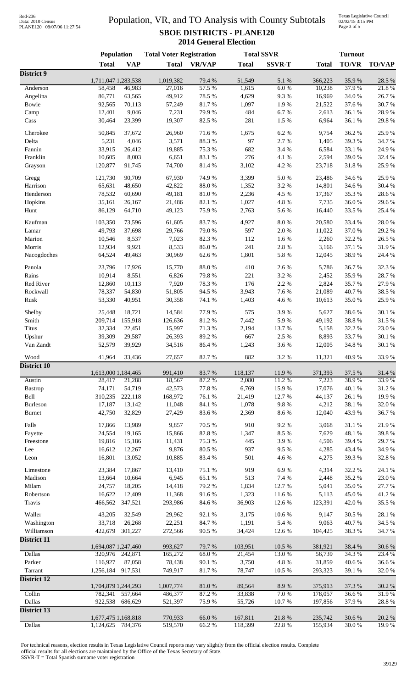# Data: 2010 Census PLANE120 08/07/06 11:27:54

## Population, VR, and TO Analysis with County Subtotals **SBOE DISTRICTS - PLANE120 2014 General Election**

Texas Legislative Council 02/02/15 3:15 PM Page 3 of 5

|               | Population                    |                  | <b>Total Voter Registration</b> |                  | <b>Total SSVR</b> |                 | <b>Turnout</b>    |                 |                 |
|---------------|-------------------------------|------------------|---------------------------------|------------------|-------------------|-----------------|-------------------|-----------------|-----------------|
|               | <b>Total</b>                  | <b>VAP</b>       | <b>Total</b>                    | <b>VR/VAP</b>    | <b>Total</b>      | <b>SSVR-T</b>   | <b>Total</b>      | <b>TO/VR</b>    | <b>TO/VAP</b>   |
| District 9    |                               |                  |                                 |                  |                   |                 |                   |                 |                 |
| Anderson      | 1,711,047 1,283,538<br>58,458 | 46,983           | 1,019,382<br>27,016             | 79.4 %<br>57.5 % | 51,549<br>1,615   | 5.1 %<br>6.0%   | 366,223<br>10,238 | 35.9%<br>37.9%  | 28.5 %<br>21.8% |
| Angelina      | 86,771                        | 63,565           | 49,912                          | 78.5 %           | 4,629             | 9.3%            | 16,969            | 34.0%           | 26.7%           |
| Bowie         | 92,565                        | 70,113           | 57,249                          | 81.7%            | 1,097             | 1.9%            | 21,522            | 37.6%           | 30.7%           |
| Camp          | 12,401                        | 9,046            | 7,231                           | 79.9%            | 484               | 6.7%            | 2,613             | 36.1%           | 28.9%           |
| Cass          | 30,464                        | 23,399           | 19,307                          | 82.5 %           | 281               | 1.5 %           | 6,964             | 36.1%           | 29.8%           |
| Cherokee      |                               |                  |                                 |                  |                   |                 |                   |                 |                 |
| Delta         | 50,845<br>5,231               | 37,672<br>4,046  | 26,960<br>3,571                 | 71.6%<br>88.3%   | 1,675<br>97       | 6.2%<br>2.7%    | 9,754<br>1,405    | 36.2%<br>39.3%  | 25.9%<br>34.7%  |
| Fannin        | 33,915                        | 26,412           | 19,885                          | 75.3 %           | 682               | 3.4 %           | 6,584             | 33.1 %          | 24.9%           |
| Franklin      | 10,605                        | 8,003            | 6,651                           | 83.1 %           | 276               | 4.1 %           | 2,594             | 39.0%           | 32.4 %          |
| Grayson       | 120,877                       | 91,745           | 74,700                          | 81.4 %           | 3,102             | 4.2 %           | 23,718            | 31.8%           | 25.9%           |
|               |                               |                  |                                 |                  |                   |                 |                   |                 |                 |
| Gregg         | 121,730                       | 90,709           | 67,930                          | 74.9%            | 3,399             | 5.0%            | 23,486            | 34.6%           | 25.9%           |
| Harrison      | 65,631                        | 48,650           | 42,822                          | 88.0%            | 1,352             | 3.2 %           | 14,801            | 34.6%           | 30.4 %          |
| Henderson     | 78,532                        | 60,690           | 49,181                          | 81.0%            | 2,236             | 4.5 %           | 17,367            | 35.3%           | 28.6%           |
| Hopkins       | 35,161                        | 26,167           | 21,486                          | 82.1 %           | 1,027             | 4.8 %           | 7,735             | 36.0%           | 29.6%           |
| Hunt          | 86,129                        | 64,710           | 49,123                          | 75.9%            | 2,763             | 5.6%            | 16,440            | 33.5 %          | 25.4 %          |
| Kaufman       | 103,350                       | 73,596           | 61,605                          | 83.7%            | 4,927             | 8.0%            | 20,580            | 33.4 %          | 28.0%           |
| Lamar         | 49,793                        | 37,698           | 29,766                          | 79.0%            | 597               | 2.0%            | 11,022            | 37.0%           | 29.2 %          |
| Marion        | 10,546                        | 8,537            | 7,023                           | 82.3%            | 112               | 1.6%            | 2,260             | 32.2 %          | 26.5 %          |
| Morris        | 12,934                        | 9,921            | 8,533                           | $86.0\;\%$       | 241               | 2.8 %           | 3,166             | 37.1 %          | 31.9%           |
| Nacogdoches   | 64,524                        | 49,463           | 30,969                          | 62.6%            | 1,801             | 5.8 %           | 12,045            | 38.9%           | 24.4 %          |
| Panola        | 23,796                        | 17,926           | 15,770                          | $88.0\ \%$       | 410               | 2.6%            | 5,786             | 36.7%           | 32.3 %          |
| Rains         | 10,914                        | 8,551            | 6,826                           | 79.8%            | 221               | 3.2%            | 2,452             | 35.9%           | 28.7%           |
| Red River     | 12,860                        | 10,113           | 7,920                           | 78.3 %           | 176               | 2.2 %           | 2,824             | 35.7%           | 27.9%           |
| Rockwall      | 78,337                        | 54,830           | 51,805                          | 94.5 %           | 3,943             | 7.6%            | 21,089            | 40.7%           | 38.5%           |
| Rusk          | 53,330                        | 40,951           | 30,358                          | 74.1 %           | 1,403             | 4.6%            | 10,613            | 35.0%           | 25.9%           |
|               |                               |                  |                                 |                  |                   |                 |                   |                 |                 |
| Shelby        | 25,448                        | 18,721           | 14,584                          | 77.9%            | 575               | 3.9%            | 5,627             | 38.6%           | 30.1%           |
| Smith         | 209,714                       | 155,918          | 126,636                         | 81.2%            | 7,442             | 5.9%            | 49,192            | 38.8%           | 31.5 %          |
| <b>Titus</b>  | 32,334                        | 22,451           | 15,997                          | 71.3 %           | 2,194             | 13.7%           | 5,158             | 32.2 %          | 23.0%           |
| Upshur        | 39,309                        | 29,587           | 26,393                          | 89.2%            | 667               | 2.5 %           | 8,893             | 33.7%           | 30.1%           |
| Van Zandt     | 52,579                        | 39,929           | 34,516                          | 86.4%            | 1,243             | 3.6%            | 12,005            | 34.8%           | 30.1%           |
| Wood          | 41,964                        | 33,436           | 27,657                          | 82.7%            | 882               | 3.2%            | 11,321            | 40.9%           | 33.9%           |
| District 10   |                               |                  |                                 |                  |                   |                 |                   |                 |                 |
| Austin        | 1,613,000 1,184,465           |                  | 991,410<br>18,567               | 83.7%<br>87.2 %  | 118,137           | 11.9%<br>11.2 % | 371,393           | 37.5 %<br>38.9% | 31.4%<br>33.9%  |
| Bastrop       | 28,417<br>74,171              | 21,288<br>54,719 | 42,573                          | 77.8 %           | 2,080<br>6,769    | 15.9%           | 7,223<br>17,076   | 40.1 %          | 31.2%           |
| Bell          | 310,235                       | 222,118          | 168,972                         | 76.1 %           | 21,419            | 12.7%           | 44,137            | 26.1%           | 19.9%           |
| Burleson      | 17,187                        | 13,142           | 11,048                          | 84.1 %           | 1,078             | 9.8%            | 4,212             | 38.1 %          | 32.0%           |
| <b>Burnet</b> | 42,750                        | 32,829           | 27,429                          | 83.6%            | 2,369             | 8.6%            | 12,040            | 43.9%           | 36.7%           |
|               |                               |                  |                                 |                  |                   |                 |                   |                 |                 |
| Falls         | 17,866                        | 13,989           | 9,857                           | 70.5 %           | 910               | 9.2%            | 3,068             | 31.1 %          | 21.9%           |
| Fayette       | 24,554                        | 19,165           | 15,866                          | 82.8 %           | 1,347             | 8.5%            | 7,629             | 48.1 %          | 39.8%           |
| Freestone     | 19,816                        | 15,186           | 11,431                          | 75.3 %           | 445               | 3.9%            | 4,506             | 39.4%           | 29.7%           |
| Lee           | 16,612                        | 12,267           | 9,876                           | 80.5 %           | 937               | 9.5%            | 4,285             | 43.4 %          | 34.9%           |
| Leon          | 16,801                        | 13,052           | 10,885                          | 83.4%            | 501               | 4.6%            | 4,275             | 39.3%           | 32.8%           |
| Limestone     | 23,384                        | 17,867           | 13,410                          | 75.1 %           | 919               | 6.9%            | 4,314             | 32.2 %          | 24.1 %          |
| Madison       | 13,664                        | 10,664           | 6,945                           | 65.1%            | 513               | 7.4 %           | 2,448             | 35.2%           | 23.0%           |
| Milam         | 24,757                        | 18,205           | 14,418                          | 79.2 %           | 1,834             | 12.7%           | 5,041             | 35.0%           | 27.7 %          |
| Robertson     | 16,622                        | 12,409           | 11,368                          | 91.6%            | 1,323             | 11.6 %          | 5,113             | 45.0%           | 41.2%           |
| Travis        | 466,562                       | 347,521          | 293,986                         | 84.6%            | 36,903            | 12.6 %          | 123,391           | 42.0%           | 35.5 %          |
| Waller        | 43,205                        | 32,549           | 29,962                          | 92.1 %           | 3,175             | 10.6 %          | 9,147             | 30.5 %          | 28.1 %          |
| Washington    | 33,718                        | 26,268           | 22,251                          | 84.7%            | 1,191             | 5.4 %           | 9,063             | 40.7%           | 34.5 %          |
| Williamson    | 422,679                       | 301,227          | 272,566                         | 90.5 %           | 34,424            | 12.6%           | 104,425           | 38.3 %          | 34.7%           |
| District 11   |                               |                  |                                 |                  |                   |                 |                   |                 |                 |
|               | 1,694,087 1,247,460           |                  | 993,627                         | 79.7%            | 103,951           | 10.5 %          | 381,921           | 38.4%           | 30.6 %          |
| <b>Dallas</b> | 320,976                       | 242,871          | 165,272                         | 68.0%            | 21,454            | 13.0%           | 56,739            | 34.3 %          | 23.4 %          |
| Parker        | 116,927                       | 87,058           | 78,438                          | 90.1 %           | 3,750             | 4.8 %           | 31,859            | 40.6 %          | 36.6%           |
| Tarrant       | 1,256,184                     | 917,531          | 749,917                         | 81.7%            | 78,747            | $10.5~\%$       | 293,323           | 39.1 %          | 32.0%           |
| District 12   |                               |                  |                                 |                  |                   |                 |                   |                 |                 |
|               | 1,704,879 1,244,293           |                  | 1,007,774                       | 81.0%            | 89,564            | 8.9%            | 375,913           | 37.3 %          | 30.2 %          |
| Collin        | 782,341                       | 557,664          | 486,377                         | 87.2 %           | 33,838            | 7.0 %           | 178,057           | 36.6%           | 31.9%           |
| Dallas        | 922,538                       | 686,629          | 521,397                         | 75.9%            | 55,726            | 10.7%           | 197,856           | 37.9%           | 28.8 %          |
| District 13   | 1,677,475 1,168,818           |                  | 770,933                         | 66.0%            | 167,811           | 21.8%           | 235,742           | 30.6 %          | 20.2 %          |
| Dallas        | 1,124,625                     | 784,376          | 519,570                         | 66.2%            | 118,399           | 22.8%           | 155,934           | 30.0%           | 19.9%           |
|               |                               |                  |                                 |                  |                   |                 |                   |                 |                 |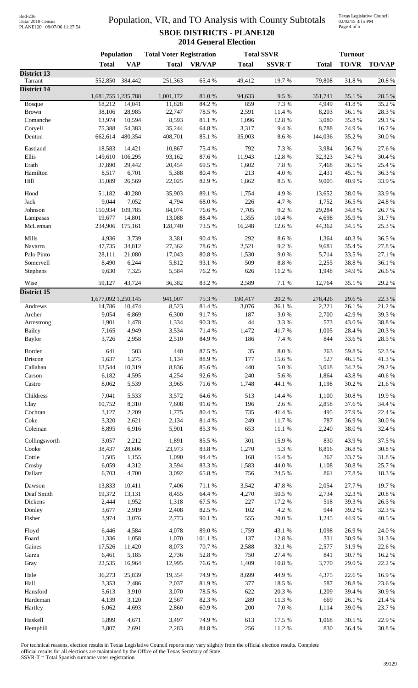# Data: 2010 Census PLANE120 08/07/06 11:27:54

## Population, VR, and TO Analysis with County Subtotals **SBOE DISTRICTS - PLANE120 2014 General Election**

Texas Legislative Council 02/02/15 3:15 PM Page 4 of 5

|                                | Population          |                | <b>Total Voter Registration</b> |                 | <b>Total SSVR</b> |                | <b>Turnout</b> |                 |                  |
|--------------------------------|---------------------|----------------|---------------------------------|-----------------|-------------------|----------------|----------------|-----------------|------------------|
|                                | <b>Total</b>        | <b>VAP</b>     | <b>Total</b>                    | <b>VR/VAP</b>   | <b>Total</b>      | <b>SSVR-T</b>  | <b>Total</b>   | <b>TO/VR</b>    | <b>TO/VAP</b>    |
| District 13                    |                     |                |                                 |                 |                   |                |                |                 |                  |
| Tarrant<br><b>District 14</b>  | 552,850             | 384,442        | 251,363                         | 65.4%           | 49,412            | 19.7%          | 79,808         | 31.8%           | 20.8%            |
|                                | 1,681,755 1,235,788 |                | 1,001,172                       | 81.0%           | 94,633            | 9.5%           | 351,741        | 35.1 %          | 28.5 %           |
| <b>Bosque</b>                  | 18,212              | 14,041         | 11,828                          | 84.2%           | 859               | 7.3 %          | 4,949          | 41.8%           | 35.2%            |
| <b>Brown</b>                   | 38,106              | 28,985         | 22,747                          | 78.5 %          | 2,591             | 11.4 %         | 8,203          | 36.1 %          | 28.3 %           |
| Comanche                       | 13,974              | 10,594         | 8,593                           | 81.1 %          | 1,096             | 12.8%          | 3,080          | 35.8%           | 29.1 %           |
| Coryell                        | 75,388              | 54,383         | 35,244                          | 64.8 %          | 3,317             | 9.4%           | 8,788          | 24.9%           | 16.2%            |
| Denton                         | 662,614             | 480,354        | 408,701                         | 85.1 %          | 35,003            | 8.6 %          | 144,036        | 35.2%           | 30.0%            |
| Eastland                       | 18,583              | 14,421         | 10,867                          | 75.4 %          | 792               | 7.3 %          | 3,984          | 36.7%           | 27.6 %           |
| Ellis                          | 149,610             | 106,295        | 93,162                          | 87.6 %          | 11,943            | 12.8 %         | 32,323         | 34.7%           | 30.4 %           |
| Erath                          | 37,890              | 29,442         | 20,454                          | 69.5%           | 1,602             | 7.8 %          | 7,468          | 36.5%           | 25.4 %           |
| Hamilton                       | 8,517               | 6,701          | 5,388                           | 80.4 %          | 213               | 4.0%           | 2,431          | 45.1 %          | 36.3%            |
| Hill                           | 35,089              | 26,569         | 22,025                          | 82.9%           | 1,862             | 8.5 %          | 9,005          | 40.9%           | 33.9%            |
| Hood                           | 51,182              | 40,280         | 35,903                          | 89.1 %          | 1,754             | 4.9%           | 13,652         | 38.0%           | 33.9%            |
| Jack                           | 9,044               | 7,052          | 4,794                           | 68.0%           | 226               | 4.7%           | 1,752          | 36.5%           | 24.8 %           |
| Johnson                        | 150,934             | 109,785        | 84,074                          | 76.6%           | 7,705             | 9.2%           | 29,284         | 34.8%           | 26.7%            |
| Lampasas                       | 19,677              | 14,801         | 13,088                          | 88.4 %          | 1,355             | 10.4 %         | 4,698          | 35.9%           | 31.7%            |
| McLennan                       | 234,906             | 175,161        | 128,740                         | 73.5 %          | 16,248            | 12.6 %         | 44,362         | 34.5 %          | 25.3 %           |
| Mills                          | 4,936               | 3,739          | 3,381                           | 90.4%           | 292               | 8.6%           | 1,364          | 40.3 %          | 36.5%            |
| Navarro                        | 47,735              | 34,812         | 27,362                          | 78.6%           | 2,521             | 9.2%           | 9,681          | 35.4 %          | 27.8 %           |
| Palo Pinto                     | 28,111              | 21,080         | 17,043                          | $80.8~\%$       | 1,530             | 9.0%           | 5,714          | 33.5 %          | $27.1\text{ }\%$ |
| Somervell                      | 8,490               | 6,244          | 5,812                           | 93.1 %          | 509               | $8.8\ \%$      | 2,255          | 38.8%           | 36.1 %           |
| Stephens                       | 9,630               | 7,325          | 5,584                           | 76.2%           | 626               | 11.2%          | 1,948          | 34.9%           | 26.6%            |
| Wise                           | 59,127              | 43,724         | 36,382                          | 83.2%           | 2,589             | 7.1 %          | 12,764         | 35.1 %          | 29.2 %           |
| <b>District 15</b>             |                     |                |                                 |                 |                   |                |                |                 |                  |
|                                | 1,677,092 1,250,145 |                | 941,007                         | 75.3 %          | 190,417           | $20.2~\%$      | 278,426        | 29.6%           | 22.3 %           |
| Andrews                        | 14,786              | 10,474         | 8,523                           | 81.4%           | 3,076             | 36.1%          | 2,221          | 26.1%           | 21.2%            |
| Archer                         | 9,054               | 6,869          | 6,300                           | 91.7%           | 187               | 3.0%           | 2,700          | 42.9%           | 39.3%            |
| Armstrong                      | 1,901               | 1,478          | 1,334                           | 90.3%           | $44$              | 3.3%           | 573            | 43.0%           | 38.8%            |
| <b>Bailey</b><br><b>Baylor</b> | 7,165<br>3,726      | 4,949<br>2,958 | 3,534<br>2,510                  | 71.4 %<br>84.9% | 1,472<br>186      | 41.7%<br>7.4 % | 1,005<br>844   | 28.4 %<br>33.6% | 20.3 %<br>28.5 % |
|                                |                     |                |                                 |                 |                   |                |                |                 |                  |
| Borden                         | 641                 | 503            | 440                             | 87.5 %          | 35                | 8.0%           | 263            | 59.8%           | 52.3%            |
| <b>Briscoe</b>                 | 1,637               | 1,275          | 1,134                           | 88.9%           | 177               | 15.6%          | 527            | 46.5 %          | 41.3%            |
| Callahan                       | 13,544              | 10,319         | 8,836                           | 85.6%           | 440               | $5.0\ \%$      | 3,018          | 34.2 %          | 29.2%            |
| Carson                         | 6,182               | 4,595          | 4,254                           | 92.6%           | 240               | 5.6%           | 1,864          | 43.8%           | 40.6%            |
| Castro                         | 8,062               | 5,539          | 3,965                           | 71.6%           | 1,748             | 44.1 %         | 1,198          | 30.2%           | 21.6%            |
| Childress                      | 7,041               | 5,533          | 3,572                           | 64.6%           | 513               | 14.4 %         | 1,100          | 30.8%           | 19.9%            |
| Clay                           | 10,752              | 8,310          | 7,608                           | 91.6%           | 196               | 2.6%           | 2,858          | 37.6 %          | 34.4 %           |
| Cochran                        | 3,127               | 2,209          | 1,775                           | 80.4 %          | 735               | 41.4 %         | 495            | 27.9%           | 22.4 %           |
| Coke                           | 3,320               | 2,621          | 2,134                           | 81.4%           | 249               | 11.7 %         | 787            | 36.9%           | 30.0%            |
| Coleman                        | 8,895               | 6,916          | 5,901                           | 85.3%           | 653               | 11.1 %         | 2,240          | 38.0%           | 32.4 %           |
| Collingsworth                  | 3,057               | 2,212          | 1,891                           | 85.5%           | 301               | 15.9%          | 830            | 43.9%           | 37.5 %           |
| Cooke                          | 38,437              | 28,606         | 23,973                          | 83.8%           | 1,270             | 5.3 %          | 8,816          | 36.8%           | 30.8 %           |
| Cottle                         | 1,505               | 1,155          | 1,090                           | 94.4 %          | 168               | 15.4 %         | 367            | 33.7 %          | 31.8 %           |
| Crosby                         | 6,059               | 4,312          | 3,594                           | 83.3%           | 1,583             | 44.0 %         | 1,108          | 30.8%           | 25.7%            |
| Dallam                         | 6,703               | 4,700          | 3,092                           | 65.8%           | 756               | 24.5 %         | 861            | 27.8 %          | 18.3%            |
| Dawson                         | 13,833              | 10,411         | 7,406                           | 71.1 %          | 3,542             | 47.8%          | 2,054          | 27.7 %          | 19.7%            |
| Deaf Smith                     | 19,372              | 13,131         | 8,455                           | 64.4 %          | 4,270             | 50.5 %         | 2,734          | 32.3 %          | $20.8~\%$        |
| Dickens                        | 2,444               | 1,952          | 1,318                           | 67.5 %          | 227               | 17.2 %         | 518            | 39.3%           | 26.5 %           |
| Donley                         | 3,677               | 2,919          | 2,408                           | 82.5 %          | 102               | 4.2 %          | 944            | 39.2%           | 32.3 %           |
| Fisher                         | 3,974               | 3,076          | 2,773                           | 90.1 %          | 555               | $20.0~\%$      | 1,245          | 44.9%           | 40.5 %           |
| Floyd                          | 6,446               | 4,584          | 4,078                           | 89.0%           | 1,759             | 43.1 %         | 1,098          | 26.9%           | 24.0 %           |
| Foard                          | 1,336               | 1,058          | 1,070                           | 101.1 %         | 137               | 12.8 %         | 331            | 30.9%           | 31.3%            |
| Gaines                         | 17,526              | 11,420         | 8,073                           | 70.7%           | 2,588             | 32.1 %         | 2,577          | 31.9%           | 22.6 %           |
| Garza                          | 6,461               | 5,185          | 2,736                           | 52.8 %          | 750               | 27.4 %         | 841            | 30.7%           | 16.2%            |
| Gray                           | 22,535              | 16,964         | 12,995                          | 76.6%           | 1,409             | $10.8~\%$      | 3,770          | 29.0%           | 22.2 %           |
| Hale                           | 36,273              | 25,839         | 19,354                          | 74.9%           | 8,699             | 44.9%          | 4,375          | 22.6 %          | 16.9%            |
| Hall                           | 3,353               | 2,486          | 2,037                           | 81.9%           | 377               | 18.5 %         | 587            | 28.8 %          | 23.6 %           |
| Hansford                       | 5,613               | 3,910          | 3,070                           | 78.5 %          | 622               | $20.3~\%$      | 1,209          | 39.4%           | 30.9%            |
| Hardeman                       | 4,139               | 3,120          | 2,567                           | 82.3%           | 289               | 11.3 %         | 669            | 26.1 %          | 21.4 %           |
| Hartley                        | 6,062               | 4,693          | 2,860                           | 60.9%           | 200               | 7.0%           | 1,114          | 39.0%           | 23.7%            |
| Haskell                        | 5,899               | 4,671          | 3,497                           | 74.9%           | 613               | 17.5 %         | 1,068          | 30.5 %          | 22.9%            |
| Hemphill                       | 3,807               | 2,691          | 2,283                           | $84.8\ \%$      | 256               | 11.2%          | 830            | 36.4 %          | 30.8%            |